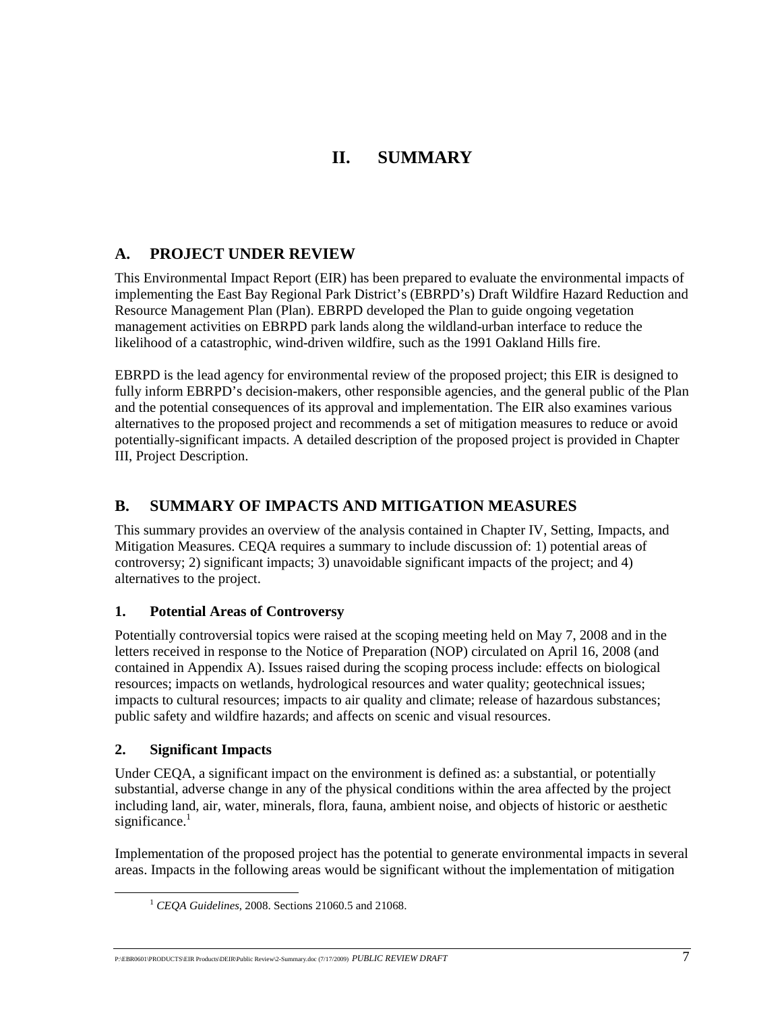# **II. SUMMARY**

## **A. PROJECT UNDER REVIEW**

This Environmental Impact Report (EIR) has been prepared to evaluate the environmental impacts of implementing the East Bay Regional Park District's (EBRPD's) Draft Wildfire Hazard Reduction and Resource Management Plan (Plan). EBRPD developed the Plan to guide ongoing vegetation management activities on EBRPD park lands along the wildland-urban interface to reduce the likelihood of a catastrophic, wind-driven wildfire, such as the 1991 Oakland Hills fire.

EBRPD is the lead agency for environmental review of the proposed project; this EIR is designed to fully inform EBRPD's decision-makers, other responsible agencies, and the general public of the Plan and the potential consequences of its approval and implementation. The EIR also examines various alternatives to the proposed project and recommends a set of mitigation measures to reduce or avoid potentially-significant impacts. A detailed description of the proposed project is provided in Chapter III, Project Description.

## **B. SUMMARY OF IMPACTS AND MITIGATION MEASURES**

This summary provides an overview of the analysis contained in Chapter IV, Setting, Impacts, and Mitigation Measures. CEQA requires a summary to include discussion of: 1) potential areas of controversy; 2) significant impacts; 3) unavoidable significant impacts of the project; and 4) alternatives to the project.

## **1. Potential Areas of Controversy**

Potentially controversial topics were raised at the scoping meeting held on May 7, 2008 and in the letters received in response to the Notice of Preparation (NOP) circulated on April 16, 2008 (and contained in Appendix A). Issues raised during the scoping process include: effects on biological resources; impacts on wetlands, hydrological resources and water quality; geotechnical issues; impacts to cultural resources; impacts to air quality and climate; release of hazardous substances; public safety and wildfire hazards; and affects on scenic and visual resources.

## **2. Significant Impacts**

Under CEQA, a significant impact on the environment is defined as: a substantial, or potentially substantial, adverse change in any of the physical conditions within the area affected by the project including land, air, water, minerals, flora, fauna, ambient noise, and objects of historic or aesthetic significance. $<sup>1</sup>$ </sup>

Implementation of the proposed project has the potential to generate environmental impacts in several areas. Impacts in the following areas would be significant without the implementation of mitigation

P:\EBR0601\PRODUCTS\EIR Products\DEIR\Public Review\2-Summary.doc (7/17/2009) *PUBLIC REVIEW DRAFT* 7

 <sup>1</sup> *CEQA Guidelines*, 2008. Sections 21060.5 and 21068.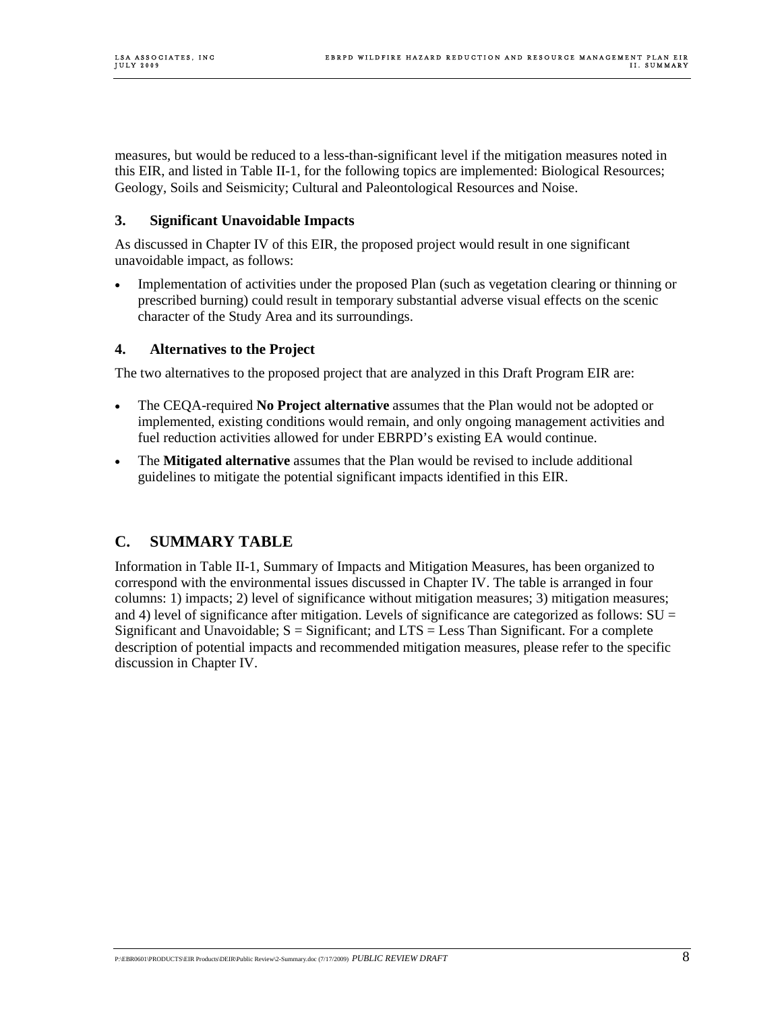measures, but would be reduced to a less-than-significant level if the mitigation measures noted in this EIR, and listed in Table II-1, for the following topics are implemented: Biological Resources; Geology, Soils and Seismicity; Cultural and Paleontological Resources and Noise.

### **3. Significant Unavoidable Impacts**

As discussed in Chapter IV of this EIR, the proposed project would result in one significant unavoidable impact, as follows:

• Implementation of activities under the proposed Plan (such as vegetation clearing or thinning or prescribed burning) could result in temporary substantial adverse visual effects on the scenic character of the Study Area and its surroundings.

### **4. Alternatives to the Project**

The two alternatives to the proposed project that are analyzed in this Draft Program EIR are:

- The CEQA-required **No Project alternative** assumes that the Plan would not be adopted or implemented, existing conditions would remain, and only ongoing management activities and fuel reduction activities allowed for under EBRPD's existing EA would continue.
- The **Mitigated alternative** assumes that the Plan would be revised to include additional guidelines to mitigate the potential significant impacts identified in this EIR.

## **C. SUMMARY TABLE**

Information in Table II-1, Summary of Impacts and Mitigation Measures, has been organized to correspond with the environmental issues discussed in Chapter IV. The table is arranged in four columns: 1) impacts; 2) level of significance without mitigation measures; 3) mitigation measures; and 4) level of significance after mitigation. Levels of significance are categorized as follows:  $SU =$ Significant and Unavoidable;  $S =$  Significant; and  $LTS =$  Less Than Significant. For a complete description of potential impacts and recommended mitigation measures, please refer to the specific discussion in Chapter IV.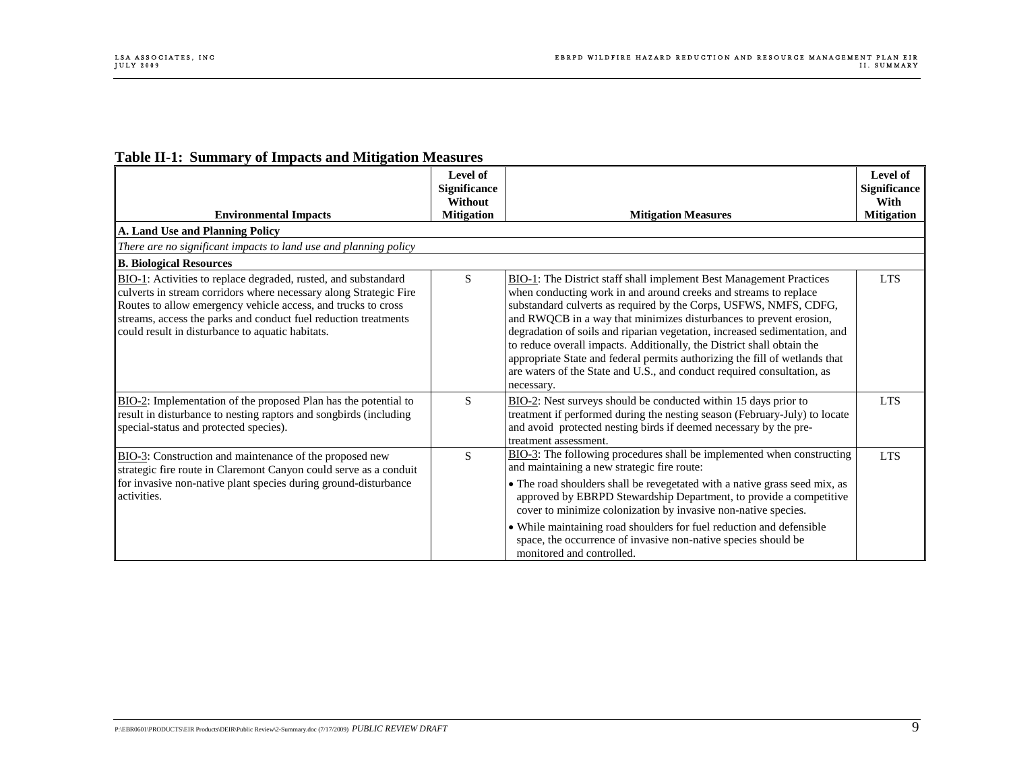| <b>Table II-1: Summary of Impacts and Mitigation Measures</b> |  |  |  |
|---------------------------------------------------------------|--|--|--|
|                                                               |  |  |  |

| <b>Mitigation</b><br><b>Environmental Impacts</b><br>A. Land Use and Planning Policy<br>There are no significant impacts to land use and planning policy<br><b>B. Biological Resources</b><br>BIO-1: Activities to replace degraded, rusted, and substandard<br>S<br>culverts in stream corridors where necessary along Strategic Fire<br>Routes to allow emergency vehicle access, and trucks to cross<br>streams, access the parks and conduct fuel reduction treatments<br>could result in disturbance to aquatic habitats. | <b>Mitigation Measures</b><br>BIO-1: The District staff shall implement Best Management Practices<br>when conducting work in and around creeks and streams to replace<br>substandard culverts as required by the Corps, USFWS, NMFS, CDFG,                                                                                                                                                                                                                                                                         | <b>Mitigation</b><br><b>LTS</b> |
|--------------------------------------------------------------------------------------------------------------------------------------------------------------------------------------------------------------------------------------------------------------------------------------------------------------------------------------------------------------------------------------------------------------------------------------------------------------------------------------------------------------------------------|--------------------------------------------------------------------------------------------------------------------------------------------------------------------------------------------------------------------------------------------------------------------------------------------------------------------------------------------------------------------------------------------------------------------------------------------------------------------------------------------------------------------|---------------------------------|
|                                                                                                                                                                                                                                                                                                                                                                                                                                                                                                                                |                                                                                                                                                                                                                                                                                                                                                                                                                                                                                                                    |                                 |
|                                                                                                                                                                                                                                                                                                                                                                                                                                                                                                                                |                                                                                                                                                                                                                                                                                                                                                                                                                                                                                                                    |                                 |
|                                                                                                                                                                                                                                                                                                                                                                                                                                                                                                                                |                                                                                                                                                                                                                                                                                                                                                                                                                                                                                                                    |                                 |
|                                                                                                                                                                                                                                                                                                                                                                                                                                                                                                                                |                                                                                                                                                                                                                                                                                                                                                                                                                                                                                                                    |                                 |
|                                                                                                                                                                                                                                                                                                                                                                                                                                                                                                                                | and RWQCB in a way that minimizes disturbances to prevent erosion,<br>degradation of soils and riparian vegetation, increased sedimentation, and<br>to reduce overall impacts. Additionally, the District shall obtain the<br>appropriate State and federal permits authorizing the fill of wetlands that<br>are waters of the State and U.S., and conduct required consultation, as<br>necessary.                                                                                                                 |                                 |
| S<br>BIO-2: Implementation of the proposed Plan has the potential to<br>result in disturbance to nesting raptors and songbirds (including<br>special-status and protected species).                                                                                                                                                                                                                                                                                                                                            | BIO-2: Nest surveys should be conducted within 15 days prior to<br>treatment if performed during the nesting season (February-July) to locate<br>and avoid protected nesting birds if deemed necessary by the pre-<br>treatment assessment.                                                                                                                                                                                                                                                                        | <b>LTS</b>                      |
| S<br>BIO-3: Construction and maintenance of the proposed new<br>strategic fire route in Claremont Canyon could serve as a conduit<br>for invasive non-native plant species during ground-disturbance<br>activities.                                                                                                                                                                                                                                                                                                            | BIO-3: The following procedures shall be implemented when constructing<br>and maintaining a new strategic fire route:<br>• The road shoulders shall be revegetated with a native grass seed mix, as<br>approved by EBRPD Stewardship Department, to provide a competitive<br>cover to minimize colonization by invasive non-native species.<br>• While maintaining road shoulders for fuel reduction and defensible<br>space, the occurrence of invasive non-native species should be<br>monitored and controlled. | <b>LTS</b>                      |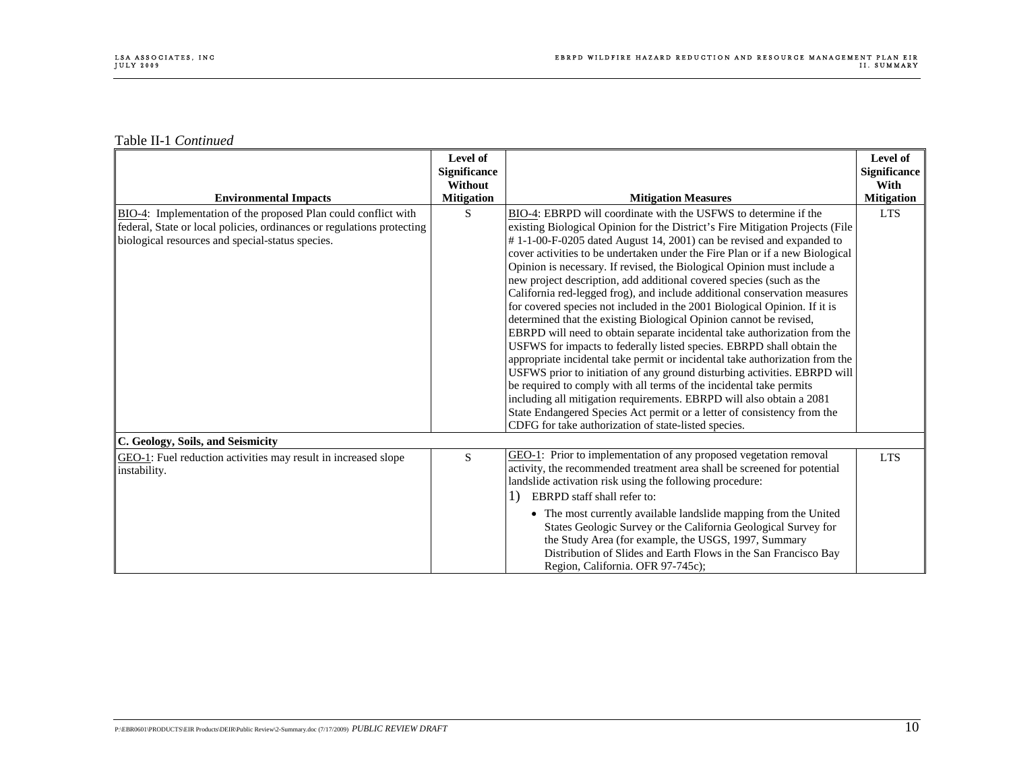| <b>Environmental Impacts</b>                                                                                                                                                                 | Level of<br><b>Significance</b><br>Without<br><b>Mitigation</b> | <b>Mitigation Measures</b>                                                                                                                                                                                                                                                                                                                                                                                                                                                                                                                                                                                                                                                                                                                                                                                                                                                                                                                                                                                                                                                                                                                                                                                                                                                                       | Level of<br>Significance<br>With<br><b>Mitigation</b> |
|----------------------------------------------------------------------------------------------------------------------------------------------------------------------------------------------|-----------------------------------------------------------------|--------------------------------------------------------------------------------------------------------------------------------------------------------------------------------------------------------------------------------------------------------------------------------------------------------------------------------------------------------------------------------------------------------------------------------------------------------------------------------------------------------------------------------------------------------------------------------------------------------------------------------------------------------------------------------------------------------------------------------------------------------------------------------------------------------------------------------------------------------------------------------------------------------------------------------------------------------------------------------------------------------------------------------------------------------------------------------------------------------------------------------------------------------------------------------------------------------------------------------------------------------------------------------------------------|-------------------------------------------------------|
| BIO-4: Implementation of the proposed Plan could conflict with<br>federal, State or local policies, ordinances or regulations protecting<br>biological resources and special-status species. | S                                                               | BIO-4: EBRPD will coordinate with the USFWS to determine if the<br>existing Biological Opinion for the District's Fire Mitigation Projects (File<br>#1-1-00-F-0205 dated August 14, 2001) can be revised and expanded to<br>cover activities to be undertaken under the Fire Plan or if a new Biological<br>Opinion is necessary. If revised, the Biological Opinion must include a<br>new project description, add additional covered species (such as the<br>California red-legged frog), and include additional conservation measures<br>for covered species not included in the 2001 Biological Opinion. If it is<br>determined that the existing Biological Opinion cannot be revised,<br>EBRPD will need to obtain separate incidental take authorization from the<br>USFWS for impacts to federally listed species. EBRPD shall obtain the<br>appropriate incidental take permit or incidental take authorization from the<br>USFWS prior to initiation of any ground disturbing activities. EBRPD will<br>be required to comply with all terms of the incidental take permits<br>including all mitigation requirements. EBRPD will also obtain a 2081<br>State Endangered Species Act permit or a letter of consistency from the<br>CDFG for take authorization of state-listed species. | <b>LTS</b>                                            |
| C. Geology, Soils, and Seismicity<br>GEO-1: Fuel reduction activities may result in increased slope<br>instability.                                                                          | S                                                               | GEO-1: Prior to implementation of any proposed vegetation removal<br>activity, the recommended treatment area shall be screened for potential<br>landslide activation risk using the following procedure:                                                                                                                                                                                                                                                                                                                                                                                                                                                                                                                                                                                                                                                                                                                                                                                                                                                                                                                                                                                                                                                                                        | <b>LTS</b>                                            |
|                                                                                                                                                                                              |                                                                 | EBRPD staff shall refer to:<br>1)<br>• The most currently available landslide mapping from the United<br>States Geologic Survey or the California Geological Survey for<br>the Study Area (for example, the USGS, 1997, Summary<br>Distribution of Slides and Earth Flows in the San Francisco Bay<br>Region, California. OFR 97-745c);                                                                                                                                                                                                                                                                                                                                                                                                                                                                                                                                                                                                                                                                                                                                                                                                                                                                                                                                                          |                                                       |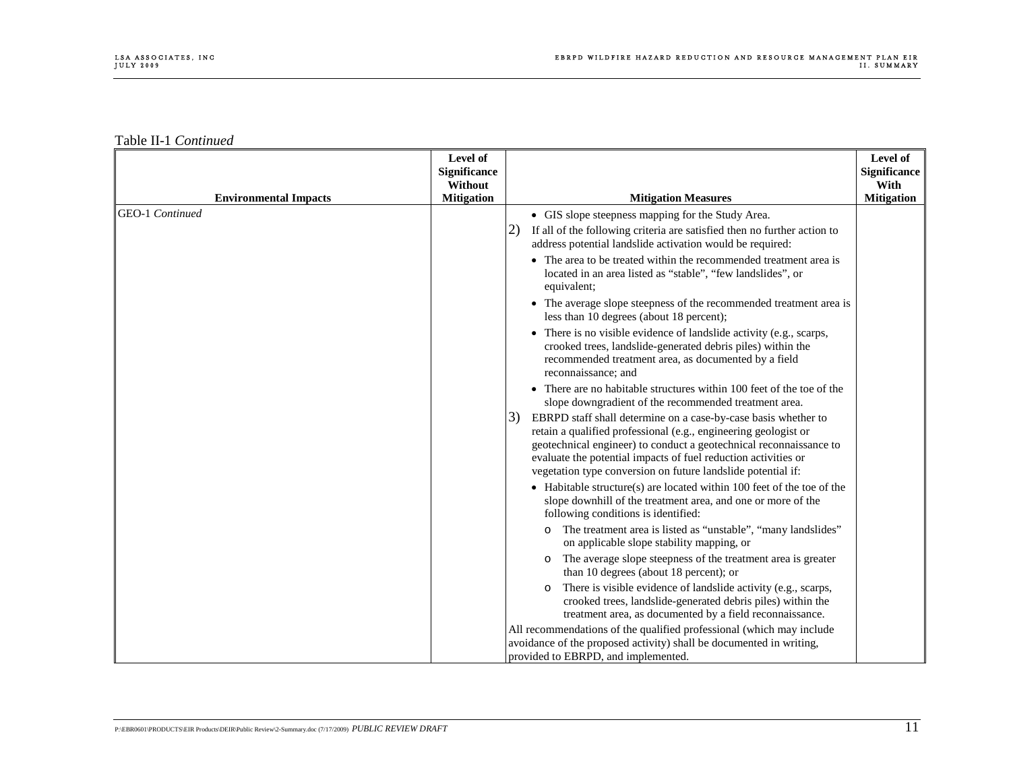| <b>Environmental Impacts</b> | Level of<br><b>Significance</b><br>Without<br><b>Mitigation</b> | <b>Mitigation Measures</b>                                                                                                                                                                                                                                                                                                                      | Level of<br><b>Significance</b><br>With<br><b>Mitigation</b> |
|------------------------------|-----------------------------------------------------------------|-------------------------------------------------------------------------------------------------------------------------------------------------------------------------------------------------------------------------------------------------------------------------------------------------------------------------------------------------|--------------------------------------------------------------|
| <b>GEO-1</b> Continued       |                                                                 | • GIS slope steepness mapping for the Study Area.<br>If all of the following criteria are satisfied then no further action to<br>2 <sup>2</sup><br>address potential landslide activation would be required:                                                                                                                                    |                                                              |
|                              |                                                                 | • The area to be treated within the recommended treatment area is<br>located in an area listed as "stable", "few landslides", or<br>equivalent;                                                                                                                                                                                                 |                                                              |
|                              |                                                                 | • The average slope steepness of the recommended treatment area is<br>less than 10 degrees (about 18 percent);                                                                                                                                                                                                                                  |                                                              |
|                              |                                                                 | • There is no visible evidence of landslide activity (e.g., scarps,<br>crooked trees, landslide-generated debris piles) within the<br>recommended treatment area, as documented by a field<br>reconnaissance; and                                                                                                                               |                                                              |
|                              |                                                                 | • There are no habitable structures within 100 feet of the toe of the<br>slope downgradient of the recommended treatment area.                                                                                                                                                                                                                  |                                                              |
|                              |                                                                 | EBRPD staff shall determine on a case-by-case basis whether to<br>3)<br>retain a qualified professional (e.g., engineering geologist or<br>geotechnical engineer) to conduct a geotechnical reconnaissance to<br>evaluate the potential impacts of fuel reduction activities or<br>vegetation type conversion on future landslide potential if: |                                                              |
|                              |                                                                 | $\bullet$ Habitable structure(s) are located within 100 feet of the toe of the<br>slope downhill of the treatment area, and one or more of the<br>following conditions is identified:                                                                                                                                                           |                                                              |
|                              |                                                                 | The treatment area is listed as "unstable", "many landslides"<br>$\circ$<br>on applicable slope stability mapping, or                                                                                                                                                                                                                           |                                                              |
|                              |                                                                 | The average slope steepness of the treatment area is greater<br>$\circ$<br>than 10 degrees (about 18 percent); or                                                                                                                                                                                                                               |                                                              |
|                              |                                                                 | There is visible evidence of landslide activity (e.g., scarps,<br>$\circ$<br>crooked trees, landslide-generated debris piles) within the<br>treatment area, as documented by a field reconnaissance.                                                                                                                                            |                                                              |
|                              |                                                                 | All recommendations of the qualified professional (which may include<br>avoidance of the proposed activity) shall be documented in writing,<br>provided to EBRPD, and implemented.                                                                                                                                                              |                                                              |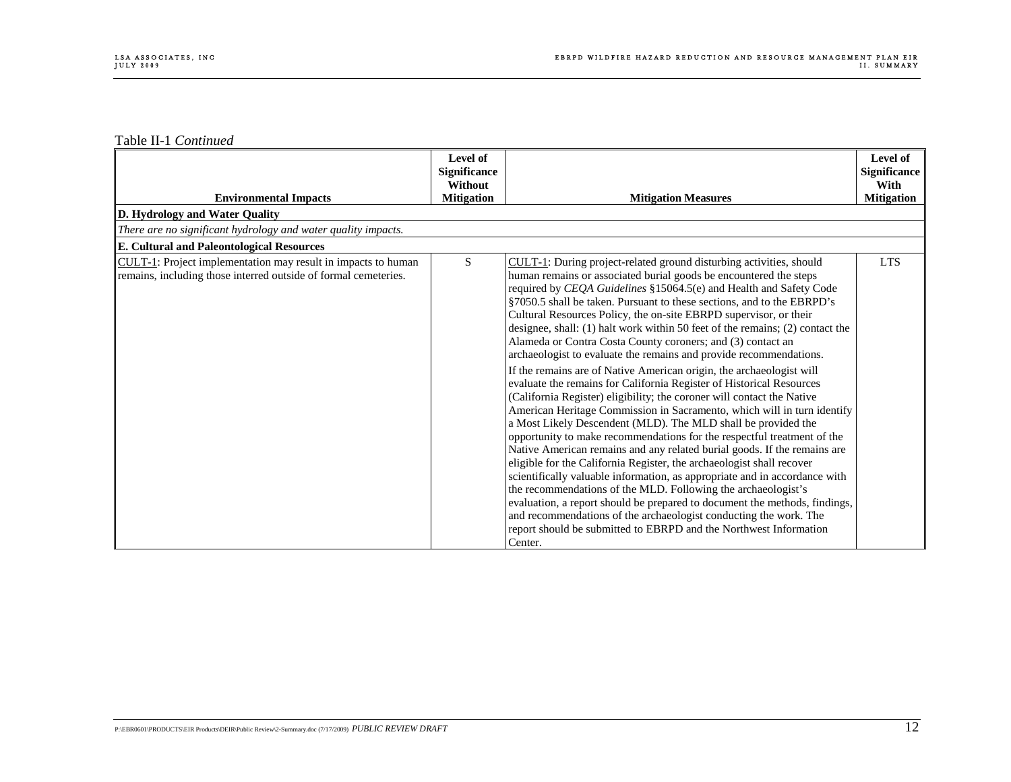|                                                                                                                                  | Level of<br><b>Significance</b><br>Without |                                                                                                                                                                                                                                                                                                                                                                                                                                                                                                                                                                                                                                                                                                                                                                                                                                                                                                                                                                                                                                                                                                                                                                                                                                                                                                                                                                                                                                                                                                                                                                             | Level of<br><b>Significance</b><br>With |
|----------------------------------------------------------------------------------------------------------------------------------|--------------------------------------------|-----------------------------------------------------------------------------------------------------------------------------------------------------------------------------------------------------------------------------------------------------------------------------------------------------------------------------------------------------------------------------------------------------------------------------------------------------------------------------------------------------------------------------------------------------------------------------------------------------------------------------------------------------------------------------------------------------------------------------------------------------------------------------------------------------------------------------------------------------------------------------------------------------------------------------------------------------------------------------------------------------------------------------------------------------------------------------------------------------------------------------------------------------------------------------------------------------------------------------------------------------------------------------------------------------------------------------------------------------------------------------------------------------------------------------------------------------------------------------------------------------------------------------------------------------------------------------|-----------------------------------------|
| <b>Environmental Impacts</b>                                                                                                     | <b>Mitigation</b>                          | <b>Mitigation Measures</b>                                                                                                                                                                                                                                                                                                                                                                                                                                                                                                                                                                                                                                                                                                                                                                                                                                                                                                                                                                                                                                                                                                                                                                                                                                                                                                                                                                                                                                                                                                                                                  | <b>Mitigation</b>                       |
| D. Hydrology and Water Quality                                                                                                   |                                            |                                                                                                                                                                                                                                                                                                                                                                                                                                                                                                                                                                                                                                                                                                                                                                                                                                                                                                                                                                                                                                                                                                                                                                                                                                                                                                                                                                                                                                                                                                                                                                             |                                         |
| There are no significant hydrology and water quality impacts.                                                                    |                                            |                                                                                                                                                                                                                                                                                                                                                                                                                                                                                                                                                                                                                                                                                                                                                                                                                                                                                                                                                                                                                                                                                                                                                                                                                                                                                                                                                                                                                                                                                                                                                                             |                                         |
| <b>E. Cultural and Paleontological Resources</b>                                                                                 |                                            |                                                                                                                                                                                                                                                                                                                                                                                                                                                                                                                                                                                                                                                                                                                                                                                                                                                                                                                                                                                                                                                                                                                                                                                                                                                                                                                                                                                                                                                                                                                                                                             |                                         |
| CULT-1: Project implementation may result in impacts to human<br>remains, including those interred outside of formal cemeteries. | S.                                         | CULT-1: During project-related ground disturbing activities, should<br>human remains or associated burial goods be encountered the steps<br>required by CEQA Guidelines §15064.5(e) and Health and Safety Code<br>§7050.5 shall be taken. Pursuant to these sections, and to the EBRPD's<br>Cultural Resources Policy, the on-site EBRPD supervisor, or their<br>designee, shall: (1) halt work within 50 feet of the remains; (2) contact the<br>Alameda or Contra Costa County coroners; and (3) contact an<br>archaeologist to evaluate the remains and provide recommendations.<br>If the remains are of Native American origin, the archaeologist will<br>evaluate the remains for California Register of Historical Resources<br>(California Register) eligibility; the coroner will contact the Native<br>American Heritage Commission in Sacramento, which will in turn identify<br>a Most Likely Descendent (MLD). The MLD shall be provided the<br>opportunity to make recommendations for the respectful treatment of the<br>Native American remains and any related burial goods. If the remains are<br>eligible for the California Register, the archaeologist shall recover<br>scientifically valuable information, as appropriate and in accordance with<br>the recommendations of the MLD. Following the archaeologist's<br>evaluation, a report should be prepared to document the methods, findings,<br>and recommendations of the archaeologist conducting the work. The<br>report should be submitted to EBRPD and the Northwest Information<br>Center. | <b>LTS</b>                              |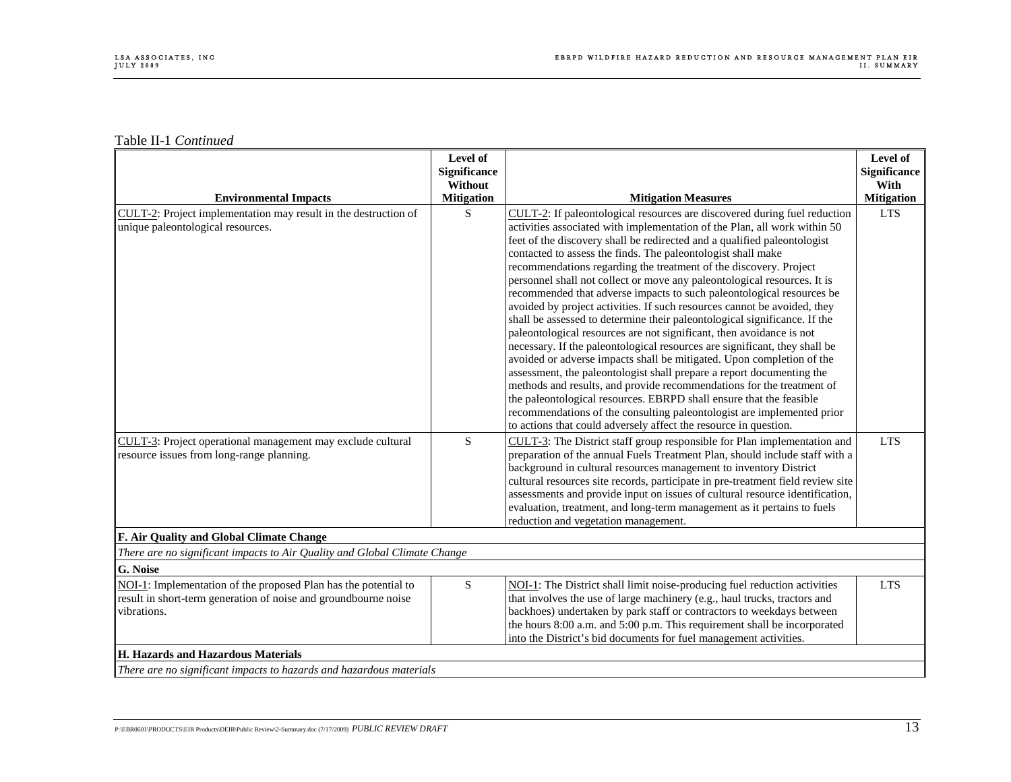| <b>Environmental Impacts</b>                                                                                                                      | Level of<br><b>Significance</b><br>Without<br><b>Mitigation</b> | <b>Mitigation Measures</b>                                                                                                                                                                                                                                                                                                                                                                                                                                                                                                                                                                                                                                                                                                                                                                                                                                                                                                                                                                                                                                                                                                                                                                                                                                                                  | Level of<br><b>Significance</b><br>With<br><b>Mitigation</b> |
|---------------------------------------------------------------------------------------------------------------------------------------------------|-----------------------------------------------------------------|---------------------------------------------------------------------------------------------------------------------------------------------------------------------------------------------------------------------------------------------------------------------------------------------------------------------------------------------------------------------------------------------------------------------------------------------------------------------------------------------------------------------------------------------------------------------------------------------------------------------------------------------------------------------------------------------------------------------------------------------------------------------------------------------------------------------------------------------------------------------------------------------------------------------------------------------------------------------------------------------------------------------------------------------------------------------------------------------------------------------------------------------------------------------------------------------------------------------------------------------------------------------------------------------|--------------------------------------------------------------|
| CULT-2: Project implementation may result in the destruction of<br>unique paleontological resources.                                              | S                                                               | CULT-2: If paleontological resources are discovered during fuel reduction<br>activities associated with implementation of the Plan, all work within 50<br>feet of the discovery shall be redirected and a qualified paleontologist<br>contacted to assess the finds. The paleontologist shall make<br>recommendations regarding the treatment of the discovery. Project<br>personnel shall not collect or move any paleontological resources. It is<br>recommended that adverse impacts to such paleontological resources be<br>avoided by project activities. If such resources cannot be avoided, they<br>shall be assessed to determine their paleontological significance. If the<br>paleontological resources are not significant, then avoidance is not<br>necessary. If the paleontological resources are significant, they shall be<br>avoided or adverse impacts shall be mitigated. Upon completion of the<br>assessment, the paleontologist shall prepare a report documenting the<br>methods and results, and provide recommendations for the treatment of<br>the paleontological resources. EBRPD shall ensure that the feasible<br>recommendations of the consulting paleontologist are implemented prior<br>to actions that could adversely affect the resource in question. | <b>LTS</b>                                                   |
| CULT-3: Project operational management may exclude cultural<br>resource issues from long-range planning.                                          | S                                                               | CULT-3: The District staff group responsible for Plan implementation and<br>preparation of the annual Fuels Treatment Plan, should include staff with a<br>background in cultural resources management to inventory District<br>cultural resources site records, participate in pre-treatment field review site<br>assessments and provide input on issues of cultural resource identification,<br>evaluation, treatment, and long-term management as it pertains to fuels<br>reduction and vegetation management.                                                                                                                                                                                                                                                                                                                                                                                                                                                                                                                                                                                                                                                                                                                                                                          | <b>LTS</b>                                                   |
| F. Air Quality and Global Climate Change                                                                                                          |                                                                 |                                                                                                                                                                                                                                                                                                                                                                                                                                                                                                                                                                                                                                                                                                                                                                                                                                                                                                                                                                                                                                                                                                                                                                                                                                                                                             |                                                              |
| There are no significant impacts to Air Quality and Global Climate Change                                                                         |                                                                 |                                                                                                                                                                                                                                                                                                                                                                                                                                                                                                                                                                                                                                                                                                                                                                                                                                                                                                                                                                                                                                                                                                                                                                                                                                                                                             |                                                              |
| G. Noise                                                                                                                                          |                                                                 |                                                                                                                                                                                                                                                                                                                                                                                                                                                                                                                                                                                                                                                                                                                                                                                                                                                                                                                                                                                                                                                                                                                                                                                                                                                                                             |                                                              |
| NOI-1: Implementation of the proposed Plan has the potential to<br>result in short-term generation of noise and groundbourne noise<br>vibrations. | ${\bf S}$                                                       | NOI-1: The District shall limit noise-producing fuel reduction activities<br>that involves the use of large machinery (e.g., haul trucks, tractors and<br>backhoes) undertaken by park staff or contractors to weekdays between<br>the hours 8:00 a.m. and 5:00 p.m. This requirement shall be incorporated<br>into the District's bid documents for fuel management activities.                                                                                                                                                                                                                                                                                                                                                                                                                                                                                                                                                                                                                                                                                                                                                                                                                                                                                                            | <b>LTS</b>                                                   |
| H. Hazards and Hazardous Materials                                                                                                                |                                                                 |                                                                                                                                                                                                                                                                                                                                                                                                                                                                                                                                                                                                                                                                                                                                                                                                                                                                                                                                                                                                                                                                                                                                                                                                                                                                                             |                                                              |
| There are no significant impacts to hazards and hazardous materials                                                                               |                                                                 |                                                                                                                                                                                                                                                                                                                                                                                                                                                                                                                                                                                                                                                                                                                                                                                                                                                                                                                                                                                                                                                                                                                                                                                                                                                                                             |                                                              |